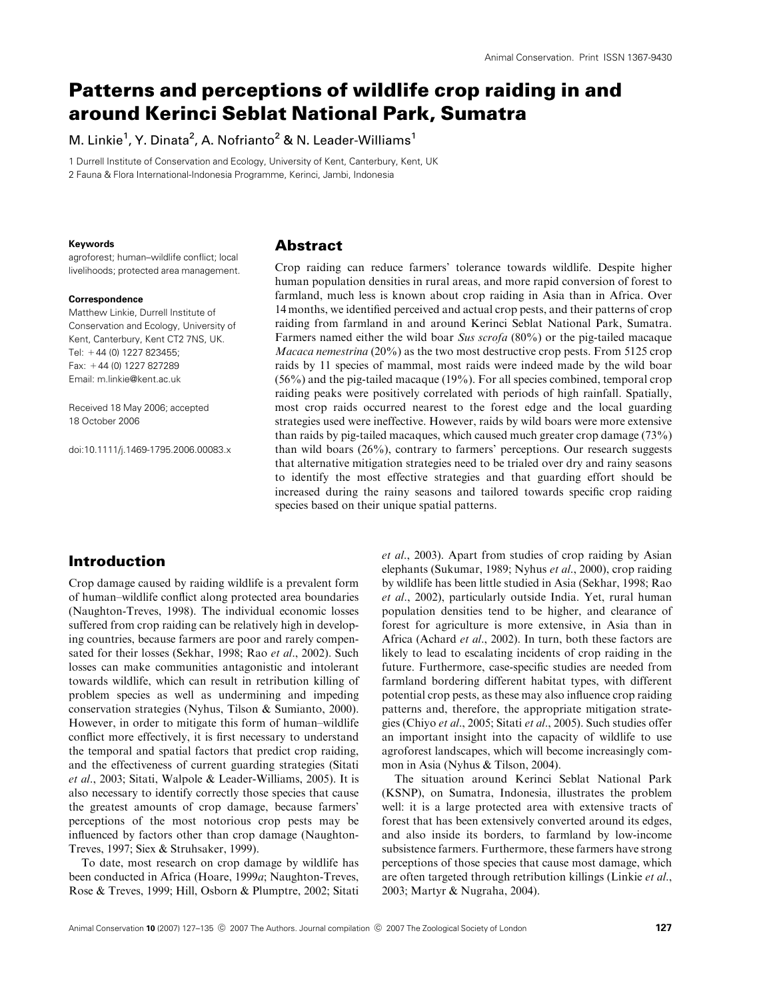# Patterns and perceptions of wildlife crop raiding in and around Kerinci Seblat National Park, Sumatra

M. Linkie<sup>1</sup>, Y. Dinata<sup>2</sup>, A. Nofrianto<sup>2</sup> & N. Leader-Williams<sup>1</sup>

1 Durrell Institute of Conservation and Ecology, University of Kent, Canterbury, Kent, UK 2 Fauna & Flora International-Indonesia Programme, Kerinci, Jambi, Indonesia

#### **Keywords**

agroforest; human–wildlife conflict; local livelihoods; protected area management.

#### **Correspondence**

Matthew Linkie, Durrell Institute of Conservation and Ecology, University of Kent, Canterbury, Kent CT2 7NS, UK. Tel: +44 (0) 1227 823455; Fax: +44 (0) 1227 827289 Email: m.linkie@kent.ac.uk

Received 18 May 2006; accepted 18 October 2006

doi:10.1111/j.1469-1795.2006.00083.x

### **Abstract**

Crop raiding can reduce farmers' tolerance towards wildlife. Despite higher human population densities in rural areas, and more rapid conversion of forest to farmland, much less is known about crop raiding in Asia than in Africa. Over 14 months, we identified perceived and actual crop pests, and their patterns of crop raiding from farmland in and around Kerinci Seblat National Park, Sumatra. Farmers named either the wild boar Sus scrofa (80%) or the pig-tailed macaque Macaca nemestrina (20%) as the two most destructive crop pests. From 5125 crop raids by 11 species of mammal, most raids were indeed made by the wild boar (56%) and the pig-tailed macaque (19%). For all species combined, temporal crop raiding peaks were positively correlated with periods of high rainfall. Spatially, most crop raids occurred nearest to the forest edge and the local guarding strategies used were ineffective. However, raids by wild boars were more extensive than raids by pig-tailed macaques, which caused much greater crop damage (73%) than wild boars (26%), contrary to farmers' perceptions. Our research suggests that alternative mitigation strategies need to be trialed over dry and rainy seasons to identify the most effective strategies and that guarding effort should be increased during the rainy seasons and tailored towards specific crop raiding species based on their unique spatial patterns.

# Introduction

Crop damage caused by raiding wildlife is a prevalent form of human–wildlife conflict along protected area boundaries (Naughton-Treves, 1998). The individual economic losses suffered from crop raiding can be relatively high in developing countries, because farmers are poor and rarely compensated for their losses (Sekhar, 1998; Rao et al., 2002). Such losses can make communities antagonistic and intolerant towards wildlife, which can result in retribution killing of problem species as well as undermining and impeding conservation strategies (Nyhus, Tilson & Sumianto, 2000). However, in order to mitigate this form of human–wildlife conflict more effectively, it is first necessary to understand the temporal and spatial factors that predict crop raiding, and the effectiveness of current guarding strategies (Sitati et al., 2003; Sitati, Walpole & Leader-Williams, 2005). It is also necessary to identify correctly those species that cause the greatest amounts of crop damage, because farmers' perceptions of the most notorious crop pests may be influenced by factors other than crop damage (Naughton-Treves, 1997; Siex & Struhsaker, 1999).

To date, most research on crop damage by wildlife has been conducted in Africa (Hoare, 1999a; Naughton-Treves, Rose & Treves, 1999; Hill, Osborn & Plumptre, 2002; Sitati et al., 2003). Apart from studies of crop raiding by Asian elephants (Sukumar, 1989; Nyhus et al., 2000), crop raiding by wildlife has been little studied in Asia (Sekhar, 1998; Rao et al., 2002), particularly outside India. Yet, rural human population densities tend to be higher, and clearance of forest for agriculture is more extensive, in Asia than in Africa (Achard et al., 2002). In turn, both these factors are likely to lead to escalating incidents of crop raiding in the future. Furthermore, case-specific studies are needed from farmland bordering different habitat types, with different potential crop pests, as these may also influence crop raiding patterns and, therefore, the appropriate mitigation strategies (Chiyo et al., 2005; Sitati et al., 2005). Such studies offer an important insight into the capacity of wildlife to use agroforest landscapes, which will become increasingly common in Asia (Nyhus & Tilson, 2004).

The situation around Kerinci Seblat National Park (KSNP), on Sumatra, Indonesia, illustrates the problem well: it is a large protected area with extensive tracts of forest that has been extensively converted around its edges, and also inside its borders, to farmland by low-income subsistence farmers. Furthermore, these farmers have strong perceptions of those species that cause most damage, which are often targeted through retribution killings (Linkie et al., 2003; Martyr & Nugraha, 2004).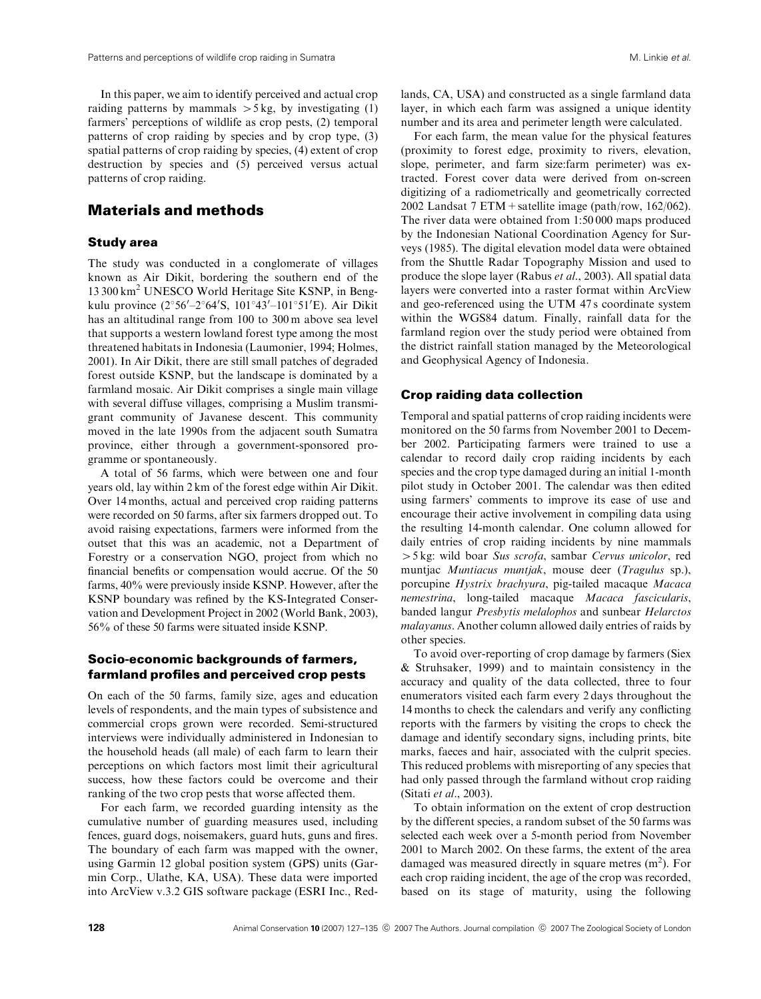In this paper, we aim to identify perceived and actual crop raiding patterns by mammals  $> 5 \text{ kg}$ , by investigating (1) farmers' perceptions of wildlife as crop pests, (2) temporal patterns of crop raiding by species and by crop type, (3) spatial patterns of crop raiding by species, (4) extent of crop destruction by species and (5) perceived versus actual patterns of crop raiding.

### Materials and methods

#### Study area

The study was conducted in a conglomerate of villages known as Air Dikit, bordering the southern end of the 13 300 km2 UNESCO World Heritage Site KSNP, in Bengkulu province (2°56'–2°64'S, 101°43'–101°51'E). Air Dikit has an altitudinal range from 100 to 300 m above sea level that supports a western lowland forest type among the most threatened habitats in Indonesia (Laumonier, 1994; Holmes, 2001). In Air Dikit, there are still small patches of degraded forest outside KSNP, but the landscape is dominated by a farmland mosaic. Air Dikit comprises a single main village with several diffuse villages, comprising a Muslim transmigrant community of Javanese descent. This community moved in the late 1990s from the adjacent south Sumatra province, either through a government-sponsored programme or spontaneously.

A total of 56 farms, which were between one and four years old, lay within 2 km of the forest edge within Air Dikit. Over 14 months, actual and perceived crop raiding patterns were recorded on 50 farms, after six farmers dropped out. To avoid raising expectations, farmers were informed from the outset that this was an academic, not a Department of Forestry or a conservation NGO, project from which no financial benefits or compensation would accrue. Of the 50 farms, 40% were previously inside KSNP. However, after the KSNP boundary was refined by the KS-Integrated Conservation and Development Project in 2002 (World Bank, 2003), 56% of these 50 farms were situated inside KSNP.

### Socio-economic backgrounds of farmers, farmland profiles and perceived crop pests

On each of the 50 farms, family size, ages and education levels of respondents, and the main types of subsistence and commercial crops grown were recorded. Semi-structured interviews were individually administered in Indonesian to the household heads (all male) of each farm to learn their perceptions on which factors most limit their agricultural success, how these factors could be overcome and their ranking of the two crop pests that worse affected them.

For each farm, we recorded guarding intensity as the cumulative number of guarding measures used, including fences, guard dogs, noisemakers, guard huts, guns and fires. The boundary of each farm was mapped with the owner, using Garmin 12 global position system (GPS) units (Garmin Corp., Ulathe, KA, USA). These data were imported into ArcView v.3.2 GIS software package (ESRI Inc., Redlands, CA, USA) and constructed as a single farmland data layer, in which each farm was assigned a unique identity number and its area and perimeter length were calculated.

For each farm, the mean value for the physical features (proximity to forest edge, proximity to rivers, elevation, slope, perimeter, and farm size:farm perimeter) was extracted. Forest cover data were derived from on-screen digitizing of a radiometrically and geometrically corrected 2002 Landsat 7 ETM+satellite image (path/row, 162/062). The river data were obtained from 1:50 000 maps produced by the Indonesian National Coordination Agency for Surveys (1985). The digital elevation model data were obtained from the Shuttle Radar Topography Mission and used to produce the slope layer (Rabus et al., 2003). All spatial data layers were converted into a raster format within ArcView and geo-referenced using the UTM 47 s coordinate system within the WGS84 datum. Finally, rainfall data for the farmland region over the study period were obtained from the district rainfall station managed by the Meteorological and Geophysical Agency of Indonesia.

#### Crop raiding data collection

Temporal and spatial patterns of crop raiding incidents were monitored on the 50 farms from November 2001 to December 2002. Participating farmers were trained to use a calendar to record daily crop raiding incidents by each species and the crop type damaged during an initial 1-month pilot study in October 2001. The calendar was then edited using farmers' comments to improve its ease of use and encourage their active involvement in compiling data using the resulting 14-month calendar. One column allowed for daily entries of crop raiding incidents by nine mammals 45 kg: wild boar Sus scrofa, sambar Cervus unicolor, red muntjac Muntiacus muntjak, mouse deer (Tragulus sp.), porcupine Hystrix brachyura, pig-tailed macaque Macaca nemestrina, long-tailed macaque Macaca fascicularis, banded langur Presbytis melalophos and sunbear Helarctos malayanus. Another column allowed daily entries of raids by other species.

To avoid over-reporting of crop damage by farmers (Siex & Struhsaker, 1999) and to maintain consistency in the accuracy and quality of the data collected, three to four enumerators visited each farm every 2 days throughout the 14 months to check the calendars and verify any conflicting reports with the farmers by visiting the crops to check the damage and identify secondary signs, including prints, bite marks, faeces and hair, associated with the culprit species. This reduced problems with misreporting of any species that had only passed through the farmland without crop raiding (Sitati et al., 2003).

To obtain information on the extent of crop destruction by the different species, a random subset of the 50 farms was selected each week over a 5-month period from November 2001 to March 2002. On these farms, the extent of the area damaged was measured directly in square metres  $(m<sup>2</sup>)$ . For each crop raiding incident, the age of the crop was recorded, based on its stage of maturity, using the following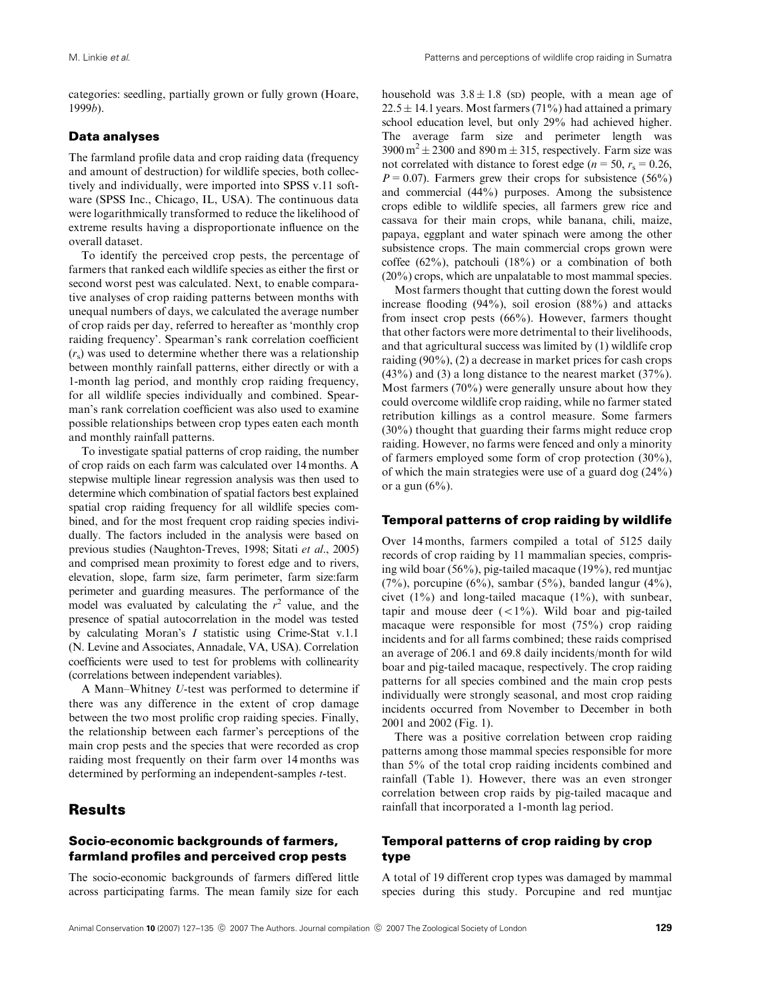categories: seedling, partially grown or fully grown (Hoare, 1999b).

#### Data analyses

The farmland profile data and crop raiding data (frequency and amount of destruction) for wildlife species, both collectively and individually, were imported into SPSS v.11 software (SPSS Inc., Chicago, IL, USA). The continuous data were logarithmically transformed to reduce the likelihood of extreme results having a disproportionate influence on the overall dataset.

To identify the perceived crop pests, the percentage of farmers that ranked each wildlife species as either the first or second worst pest was calculated. Next, to enable comparative analyses of crop raiding patterns between months with unequal numbers of days, we calculated the average number of crop raids per day, referred to hereafter as 'monthly crop raiding frequency'. Spearman's rank correlation coefficient  $(r<sub>s</sub>)$  was used to determine whether there was a relationship between monthly rainfall patterns, either directly or with a 1-month lag period, and monthly crop raiding frequency, for all wildlife species individually and combined. Spearman's rank correlation coefficient was also used to examine possible relationships between crop types eaten each month and monthly rainfall patterns.

To investigate spatial patterns of crop raiding, the number of crop raids on each farm was calculated over 14 months. A stepwise multiple linear regression analysis was then used to determine which combination of spatial factors best explained spatial crop raiding frequency for all wildlife species combined, and for the most frequent crop raiding species individually. The factors included in the analysis were based on previous studies (Naughton-Treves, 1998; Sitati et al., 2005) and comprised mean proximity to forest edge and to rivers, elevation, slope, farm size, farm perimeter, farm size:farm perimeter and guarding measures. The performance of the model was evaluated by calculating the  $r^2$  value, and the presence of spatial autocorrelation in the model was tested by calculating Moran's I statistic using Crime-Stat v.1.1 (N. Levine and Associates, Annadale, VA, USA). Correlation coefficients were used to test for problems with collinearity (correlations between independent variables).

A Mann–Whitney U-test was performed to determine if there was any difference in the extent of crop damage between the two most prolific crop raiding species. Finally, the relationship between each farmer's perceptions of the main crop pests and the species that were recorded as crop raiding most frequently on their farm over 14 months was determined by performing an independent-samples t-test.

### Results

### Socio-economic backgrounds of farmers, farmland profiles and perceived crop pests

The socio-economic backgrounds of farmers differed little across participating farms. The mean family size for each

household was  $3.8 \pm 1.8$  (sp) people, with a mean age of  $22.5 \pm 14.1$  years. Most farmers (71%) had attained a primary school education level, but only 29% had achieved higher. The average farm size and perimeter length was  $3900 \text{ m}^2 \pm 2300$  and  $890 \text{ m} \pm 315$ , respectively. Farm size was not correlated with distance to forest edge ( $n = 50$ ,  $r_s = 0.26$ ,  $P = 0.07$ ). Farmers grew their crops for subsistence (56%) and commercial (44%) purposes. Among the subsistence crops edible to wildlife species, all farmers grew rice and cassava for their main crops, while banana, chili, maize, papaya, eggplant and water spinach were among the other subsistence crops. The main commercial crops grown were coffee (62%), patchouli (18%) or a combination of both (20%) crops, which are unpalatable to most mammal species.

Most farmers thought that cutting down the forest would increase flooding (94%), soil erosion (88%) and attacks from insect crop pests (66%). However, farmers thought that other factors were more detrimental to their livelihoods, and that agricultural success was limited by (1) wildlife crop raiding (90%), (2) a decrease in market prices for cash crops (43%) and (3) a long distance to the nearest market (37%). Most farmers (70%) were generally unsure about how they could overcome wildlife crop raiding, while no farmer stated retribution killings as a control measure. Some farmers (30%) thought that guarding their farms might reduce crop raiding. However, no farms were fenced and only a minority of farmers employed some form of crop protection (30%), of which the main strategies were use of a guard dog (24%) or a gun  $(6\%)$ .

#### Temporal patterns of crop raiding by wildlife

Over 14 months, farmers compiled a total of 5125 daily records of crop raiding by 11 mammalian species, comprising wild boar (56%), pig-tailed macaque (19%), red muntjac (7%), porcupine (6%), sambar (5%), banded langur (4%), civet (1%) and long-tailed macaque (1%), with sunbear, tapir and mouse deer  $\left(\langle 1\% \rangle\right)$ . Wild boar and pig-tailed macaque were responsible for most (75%) crop raiding incidents and for all farms combined; these raids comprised an average of 206.1 and 69.8 daily incidents/month for wild boar and pig-tailed macaque, respectively. The crop raiding patterns for all species combined and the main crop pests individually were strongly seasonal, and most crop raiding incidents occurred from November to December in both 2001 and 2002 (Fig. 1).

There was a positive correlation between crop raiding patterns among those mammal species responsible for more than 5% of the total crop raiding incidents combined and rainfall (Table 1). However, there was an even stronger correlation between crop raids by pig-tailed macaque and rainfall that incorporated a 1-month lag period.

### Temporal patterns of crop raiding by crop type

A total of 19 different crop types was damaged by mammal species during this study. Porcupine and red muntjac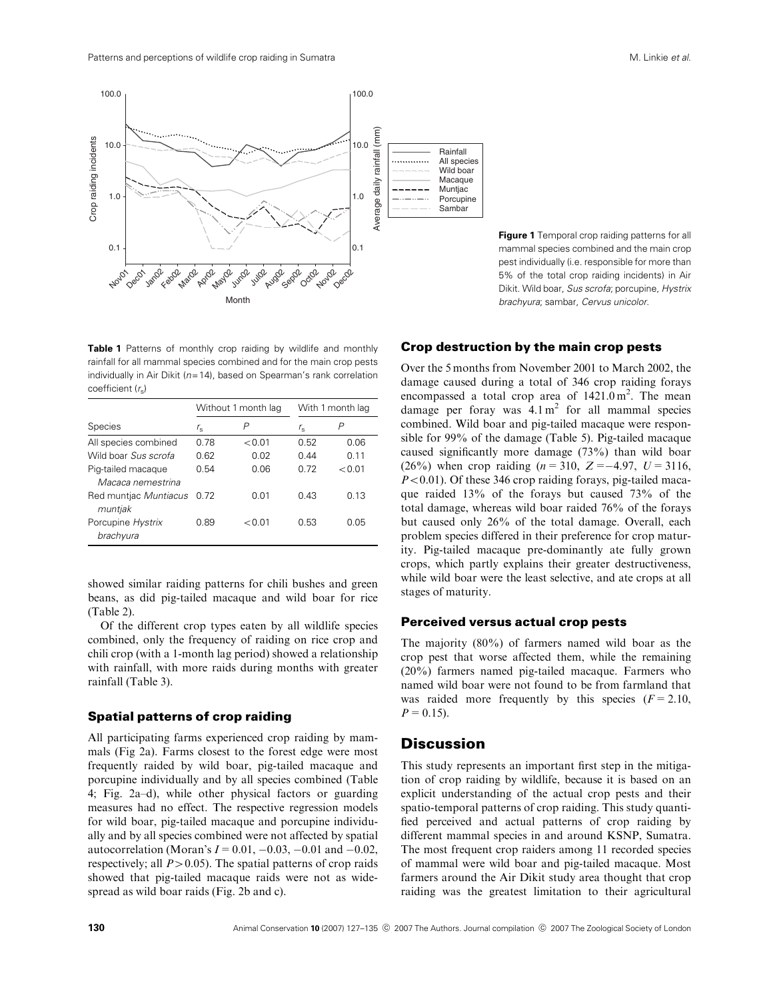

**Figure 1** Temporal crop raiding patterns for all mammal species combined and the main crop pest individually (i.e. responsible for more than 5% of the total crop raiding incidents) in Air Dikit. Wild boar, Sus scrofa; porcupine, Hystrix brachyura; sambar, Cervus unicolor.

**Table 1** Patterns of monthly crop raiding by wildlife and monthly rainfall for all mammal species combined and for the main crop pests individually in Air Dikit ( $n=14$ ), based on Spearman's rank correlation coefficient  $(r<sub>s</sub>)$ 

|                                         |             | Without 1 month lag | With 1 month lag |        |
|-----------------------------------------|-------------|---------------------|------------------|--------|
| Species                                 | $r_{\rm s}$ | P                   | $r_{\rm s}$      | P      |
| All species combined                    | በ 78        | < 0.01              | 0.52             | 0.06   |
| Wild boar <i>Sus scrofa</i>             | በ 62        | 0.02                | 0.44             | O 11   |
| Pig-tailed macague<br>Macaca nemestrina | 0.54        | 0.06                | O 72             | < 0.01 |
| Red muntjac Muntiacus<br>muntjak        | 0.72        | 0.01                | 0.43             | 0.13   |
| Porcupine Hystrix<br>brachyura          | 0.89        | $<$ 0.01            | 0.53             | 0.05   |

showed similar raiding patterns for chili bushes and green beans, as did pig-tailed macaque and wild boar for rice (Table 2).

Of the different crop types eaten by all wildlife species combined, only the frequency of raiding on rice crop and chili crop (with a 1-month lag period) showed a relationship with rainfall, with more raids during months with greater rainfall (Table 3).

### Spatial patterns of crop raiding

All participating farms experienced crop raiding by mammals (Fig 2a). Farms closest to the forest edge were most frequently raided by wild boar, pig-tailed macaque and porcupine individually and by all species combined (Table 4; Fig. 2a–d), while other physical factors or guarding measures had no effect. The respective regression models for wild boar, pig-tailed macaque and porcupine individually and by all species combined were not affected by spatial autocorrelation (Moran's  $I = 0.01, -0.03, -0.01$  and  $-0.02$ , respectively; all  $P > 0.05$ ). The spatial patterns of crop raids showed that pig-tailed macaque raids were not as widespread as wild boar raids (Fig. 2b and c).

### Crop destruction by the main crop pests

Over the 5 months from November 2001 to March 2002, the damage caused during a total of 346 crop raiding forays encompassed a total crop area of  $1421.0 \text{ m}^2$ . The mean damage per foray was  $4.1 \text{ m}^2$  for all mammal species combined. Wild boar and pig-tailed macaque were responsible for 99% of the damage (Table 5). Pig-tailed macaque caused significantly more damage (73%) than wild boar (26%) when crop raiding  $(n=310, Z=-4.97, U=3116,$  $P<0.01$ ). Of these 346 crop raiding forays, pig-tailed macaque raided 13% of the forays but caused 73% of the total damage, whereas wild boar raided 76% of the forays but caused only 26% of the total damage. Overall, each problem species differed in their preference for crop maturity. Pig-tailed macaque pre-dominantly ate fully grown crops, which partly explains their greater destructiveness, while wild boar were the least selective, and ate crops at all stages of maturity.

#### Perceived versus actual crop pests

The majority (80%) of farmers named wild boar as the crop pest that worse affected them, while the remaining (20%) farmers named pig-tailed macaque. Farmers who named wild boar were not found to be from farmland that was raided more frequently by this species  $(F = 2.10)$ ,  $P = 0.15$ .

## **Discussion**

This study represents an important first step in the mitigation of crop raiding by wildlife, because it is based on an explicit understanding of the actual crop pests and their spatio-temporal patterns of crop raiding. This study quantified perceived and actual patterns of crop raiding by different mammal species in and around KSNP, Sumatra. The most frequent crop raiders among 11 recorded species of mammal were wild boar and pig-tailed macaque. Most farmers around the Air Dikit study area thought that crop raiding was the greatest limitation to their agricultural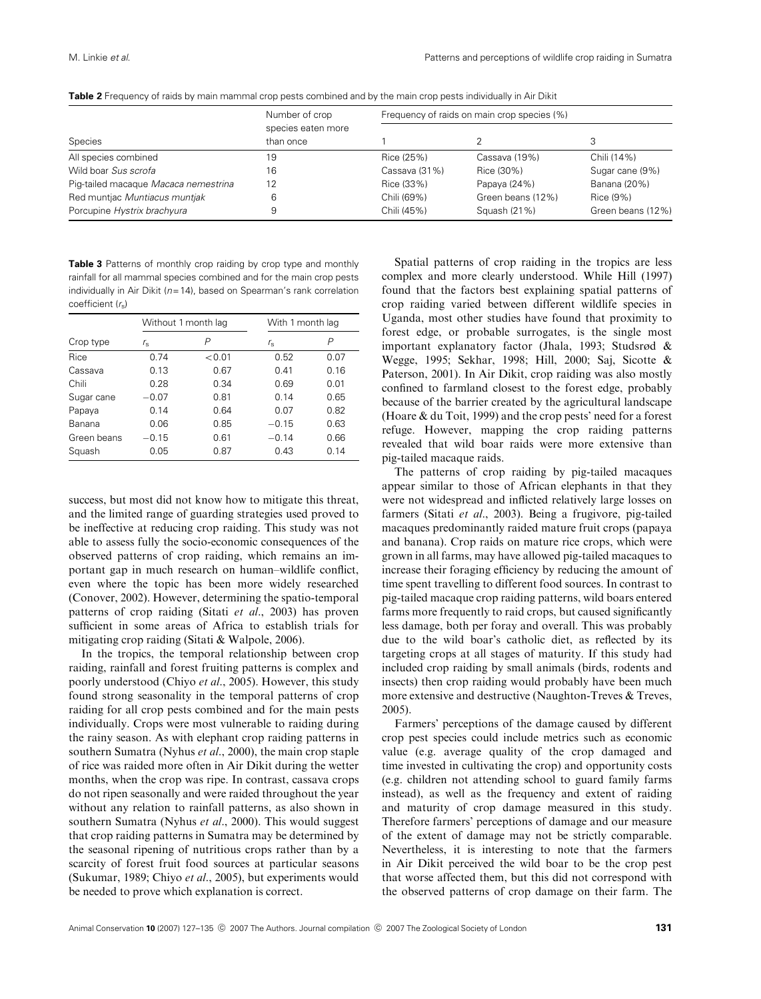|                                      | Number of crop                  | Frequency of raids on main crop species (%) |                   |                   |  |  |
|--------------------------------------|---------------------------------|---------------------------------------------|-------------------|-------------------|--|--|
| Species                              | species eaten more<br>than once |                                             |                   |                   |  |  |
| All species combined                 | 19                              | Rice (25%)                                  | Cassava (19%)     | Chili (14%)       |  |  |
| Wild boar Sus scrofa                 | 16                              | Cassava (31%)                               | Rice (30%)        | Sugar cane (9%)   |  |  |
| Pig-tailed macaque Macaca nemestrina | 12                              | Rice (33%)                                  | Papaya (24%)      | Banana (20%)      |  |  |
| Red muntjac Muntiacus muntjak        |                                 | Chili (69%)                                 | Green beans (12%) | Rice (9%)         |  |  |
| Porcupine Hystrix brachyura          |                                 | Chili (45%)                                 | Squash (21%)      | Green beans (12%) |  |  |

**Table 3** Patterns of monthly crop raiding by crop type and monthly rainfall for all mammal species combined and for the main crop pests individually in Air Dikit ( $n=14$ ), based on Spearman's rank correlation coefficient (rs)

|             | Without 1 month lag |        | With 1 month lag |      |  |
|-------------|---------------------|--------|------------------|------|--|
| Crop type   | r.                  | P      | $r_{\rm s}$      | P    |  |
| Rice        | 0.74                | < 0.01 | 0.52             | 0.07 |  |
| Cassava     | 0.13                | 0.67   | 0.41             | 0.16 |  |
| Chili       | 0.28                | 0.34   | 0.69             | 0.01 |  |
| Sugar cane  | $-0.07$             | 0.81   | 0.14             | 0.65 |  |
| Papaya      | 0.14                | 0.64   | 0.07             | 0.82 |  |
| Banana      | 0.06                | 0.85   | $-0.15$          | 0.63 |  |
| Green beans | $-0.15$             | 0.61   | $-0.14$          | 0.66 |  |
| Squash      | 0.05                | 0.87   | 0.43             | 0.14 |  |

success, but most did not know how to mitigate this threat, and the limited range of guarding strategies used proved to be ineffective at reducing crop raiding. This study was not able to assess fully the socio-economic consequences of the observed patterns of crop raiding, which remains an important gap in much research on human–wildlife conflict, even where the topic has been more widely researched (Conover, 2002). However, determining the spatio-temporal patterns of crop raiding (Sitati et al., 2003) has proven sufficient in some areas of Africa to establish trials for mitigating crop raiding (Sitati & Walpole, 2006).

In the tropics, the temporal relationship between crop raiding, rainfall and forest fruiting patterns is complex and poorly understood (Chiyo et al., 2005). However, this study found strong seasonality in the temporal patterns of crop raiding for all crop pests combined and for the main pests individually. Crops were most vulnerable to raiding during the rainy season. As with elephant crop raiding patterns in southern Sumatra (Nyhus *et al.*, 2000), the main crop staple of rice was raided more often in Air Dikit during the wetter months, when the crop was ripe. In contrast, cassava crops do not ripen seasonally and were raided throughout the year without any relation to rainfall patterns, as also shown in southern Sumatra (Nyhus *et al.*, 2000). This would suggest that crop raiding patterns in Sumatra may be determined by the seasonal ripening of nutritious crops rather than by a scarcity of forest fruit food sources at particular seasons (Sukumar, 1989; Chiyo et al., 2005), but experiments would be needed to prove which explanation is correct.

Spatial patterns of crop raiding in the tropics are less complex and more clearly understood. While Hill (1997) found that the factors best explaining spatial patterns of crop raiding varied between different wildlife species in Uganda, most other studies have found that proximity to forest edge, or probable surrogates, is the single most important explanatory factor (Jhala, 1993; Studsrød & Wegge, 1995; Sekhar, 1998; Hill, 2000; Saj, Sicotte & Paterson, 2001). In Air Dikit, crop raiding was also mostly confined to farmland closest to the forest edge, probably because of the barrier created by the agricultural landscape (Hoare & du Toit, 1999) and the crop pests' need for a forest refuge. However, mapping the crop raiding patterns revealed that wild boar raids were more extensive than pig-tailed macaque raids.

The patterns of crop raiding by pig-tailed macaques appear similar to those of African elephants in that they were not widespread and inflicted relatively large losses on farmers (Sitati et al., 2003). Being a frugivore, pig-tailed macaques predominantly raided mature fruit crops (papaya and banana). Crop raids on mature rice crops, which were grown in all farms, may have allowed pig-tailed macaques to increase their foraging efficiency by reducing the amount of time spent travelling to different food sources. In contrast to pig-tailed macaque crop raiding patterns, wild boars entered farms more frequently to raid crops, but caused significantly less damage, both per foray and overall. This was probably due to the wild boar's catholic diet, as reflected by its targeting crops at all stages of maturity. If this study had included crop raiding by small animals (birds, rodents and insects) then crop raiding would probably have been much more extensive and destructive (Naughton-Treves & Treves, 2005).

Farmers' perceptions of the damage caused by different crop pest species could include metrics such as economic value (e.g. average quality of the crop damaged and time invested in cultivating the crop) and opportunity costs (e.g. children not attending school to guard family farms instead), as well as the frequency and extent of raiding and maturity of crop damage measured in this study. Therefore farmers' perceptions of damage and our measure of the extent of damage may not be strictly comparable. Nevertheless, it is interesting to note that the farmers in Air Dikit perceived the wild boar to be the crop pest that worse affected them, but this did not correspond with the observed patterns of crop damage on their farm. The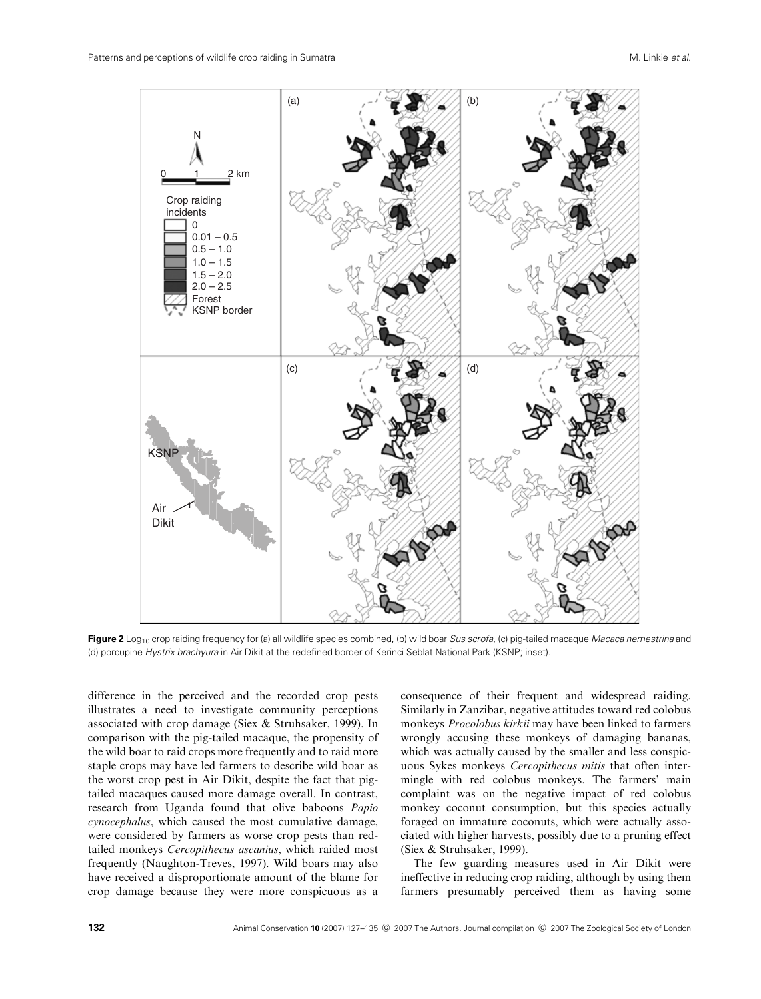

Figure 2 Log<sub>10</sub> crop raiding frequency for (a) all wildlife species combined, (b) wild boar Sus scrofa, (c) pig-tailed macaque Macaca nemestrina and (d) porcupine Hystrix brachyura in Air Dikit at the redefined border of Kerinci Seblat National Park (KSNP; inset).

difference in the perceived and the recorded crop pests illustrates a need to investigate community perceptions associated with crop damage (Siex & Struhsaker, 1999). In comparison with the pig-tailed macaque, the propensity of the wild boar to raid crops more frequently and to raid more staple crops may have led farmers to describe wild boar as the worst crop pest in Air Dikit, despite the fact that pigtailed macaques caused more damage overall. In contrast, research from Uganda found that olive baboons Papio cynocephalus, which caused the most cumulative damage, were considered by farmers as worse crop pests than redtailed monkeys Cercopithecus ascanius, which raided most frequently (Naughton-Treves, 1997). Wild boars may also have received a disproportionate amount of the blame for crop damage because they were more conspicuous as a consequence of their frequent and widespread raiding. Similarly in Zanzibar, negative attitudes toward red colobus monkeys Procolobus kirkii may have been linked to farmers wrongly accusing these monkeys of damaging bananas, which was actually caused by the smaller and less conspicuous Sykes monkeys Cercopithecus mitis that often intermingle with red colobus monkeys. The farmers' main complaint was on the negative impact of red colobus monkey coconut consumption, but this species actually foraged on immature coconuts, which were actually associated with higher harvests, possibly due to a pruning effect (Siex & Struhsaker, 1999).

The few guarding measures used in Air Dikit were ineffective in reducing crop raiding, although by using them farmers presumably perceived them as having some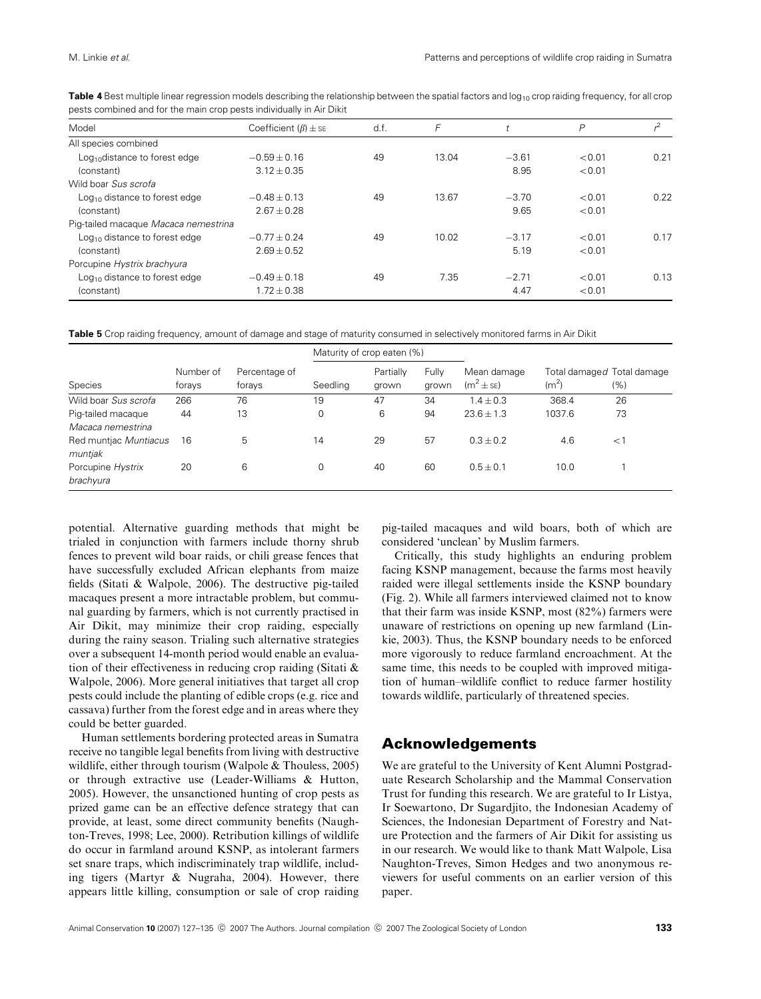| Model                                     | Coefficient $(\beta) \pm s\varepsilon$ | d.f. | F     |         | P      |      |
|-------------------------------------------|----------------------------------------|------|-------|---------|--------|------|
| All species combined                      |                                        |      |       |         |        |      |
| Log <sub>10</sub> distance to forest edge | $-0.59 + 0.16$                         | 49   | 13.04 | $-3.61$ | < 0.01 | 0.21 |
| (constant)                                | $3.12 + 0.35$                          |      |       | 8.95    | < 0.01 |      |
| Wild boar Sus scrofa                      |                                        |      |       |         |        |      |
| $Log10$ distance to forest edge           | $-0.48 + 0.13$                         | 49   | 13.67 | $-3.70$ | < 0.01 | 0.22 |
| (constant)                                | $2.67 + 0.28$                          |      |       | 9.65    | < 0.01 |      |
| Pig-tailed macaque Macaca nemestrina      |                                        |      |       |         |        |      |
| $Log10$ distance to forest edge           | $-0.77 + 0.24$                         | 49   | 10.02 | $-3.17$ | < 0.01 | 0.17 |
| (constant)                                | $2.69 \pm 0.52$                        |      |       | 5.19    | < 0.01 |      |
| Porcupine Hystrix brachyura               |                                        |      |       |         |        |      |
| $Log10$ distance to forest edge           | $-0.49 \pm 0.18$                       | 49   | 7.35  | $-2.71$ | < 0.01 | 0.13 |
| (constant)                                | $1.72 \pm 0.38$                        |      |       | 4.47    | < 0.01 |      |

Table 4 Best multiple linear regression models describing the relationship between the spatial factors and log<sub>10</sub> crop raiding frequency, for all crop pests combined and for the main crop pests individually in Air Dikit

**Table 5** Crop raiding frequency, amount of damage and stage of maturity consumed in selectively monitored farms in Air Dikit

|                                         |                     |                         | Maturity of crop eaten (%) |                    |                |                                |                   |                                   |
|-----------------------------------------|---------------------|-------------------------|----------------------------|--------------------|----------------|--------------------------------|-------------------|-----------------------------------|
| Species                                 | Number of<br>forays | Percentage of<br>forays | Seedling                   | Partially<br>arown | Fully<br>arown | Mean damage<br>$(m^2 \pm s_E)$ | (m <sup>2</sup> ) | Total damaged Total damage<br>(%) |
| Wild boar Sus scrofa                    | 266                 | 76                      | 19                         | 47                 | 34             | $1.4 \pm 0.3$                  | 368.4             | 26                                |
| Pig-tailed macague<br>Macaca nemestrina | 44                  | 13                      | $\Omega$                   | 6                  | 94             | $23.6 \pm 1.3$                 | 1037.6            | 73                                |
| Red muntjac Muntiacus<br>muntjak        | 16                  | 5                       | 14                         | 29                 | 57             | $0.3 + 0.2$                    | 4.6               | $<$ 1                             |
| Porcupine Hystrix<br>brachyura          | 20                  | 6                       | $\Omega$                   | 40                 | 60             | $0.5 + 0.1$                    | 10.0              |                                   |

potential. Alternative guarding methods that might be trialed in conjunction with farmers include thorny shrub fences to prevent wild boar raids, or chili grease fences that have successfully excluded African elephants from maize fields (Sitati & Walpole, 2006). The destructive pig-tailed macaques present a more intractable problem, but communal guarding by farmers, which is not currently practised in Air Dikit, may minimize their crop raiding, especially during the rainy season. Trialing such alternative strategies over a subsequent 14-month period would enable an evaluation of their effectiveness in reducing crop raiding (Sitati & Walpole, 2006). More general initiatives that target all crop pests could include the planting of edible crops (e.g. rice and cassava) further from the forest edge and in areas where they could be better guarded.

Human settlements bordering protected areas in Sumatra receive no tangible legal benefits from living with destructive wildlife, either through tourism (Walpole & Thouless, 2005) or through extractive use (Leader-Williams & Hutton, 2005). However, the unsanctioned hunting of crop pests as prized game can be an effective defence strategy that can provide, at least, some direct community benefits (Naughton-Treves, 1998; Lee, 2000). Retribution killings of wildlife do occur in farmland around KSNP, as intolerant farmers set snare traps, which indiscriminately trap wildlife, including tigers (Martyr & Nugraha, 2004). However, there appears little killing, consumption or sale of crop raiding pig-tailed macaques and wild boars, both of which are considered 'unclean' by Muslim farmers.

Critically, this study highlights an enduring problem facing KSNP management, because the farms most heavily raided were illegal settlements inside the KSNP boundary (Fig. 2). While all farmers interviewed claimed not to know that their farm was inside KSNP, most (82%) farmers were unaware of restrictions on opening up new farmland (Linkie, 2003). Thus, the KSNP boundary needs to be enforced more vigorously to reduce farmland encroachment. At the same time, this needs to be coupled with improved mitigation of human–wildlife conflict to reduce farmer hostility towards wildlife, particularly of threatened species.

### Acknowledgements

We are grateful to the University of Kent Alumni Postgraduate Research Scholarship and the Mammal Conservation Trust for funding this research. We are grateful to Ir Listya, Ir Soewartono, Dr Sugardjito, the Indonesian Academy of Sciences, the Indonesian Department of Forestry and Nature Protection and the farmers of Air Dikit for assisting us in our research. We would like to thank Matt Walpole, Lisa Naughton-Treves, Simon Hedges and two anonymous reviewers for useful comments on an earlier version of this paper.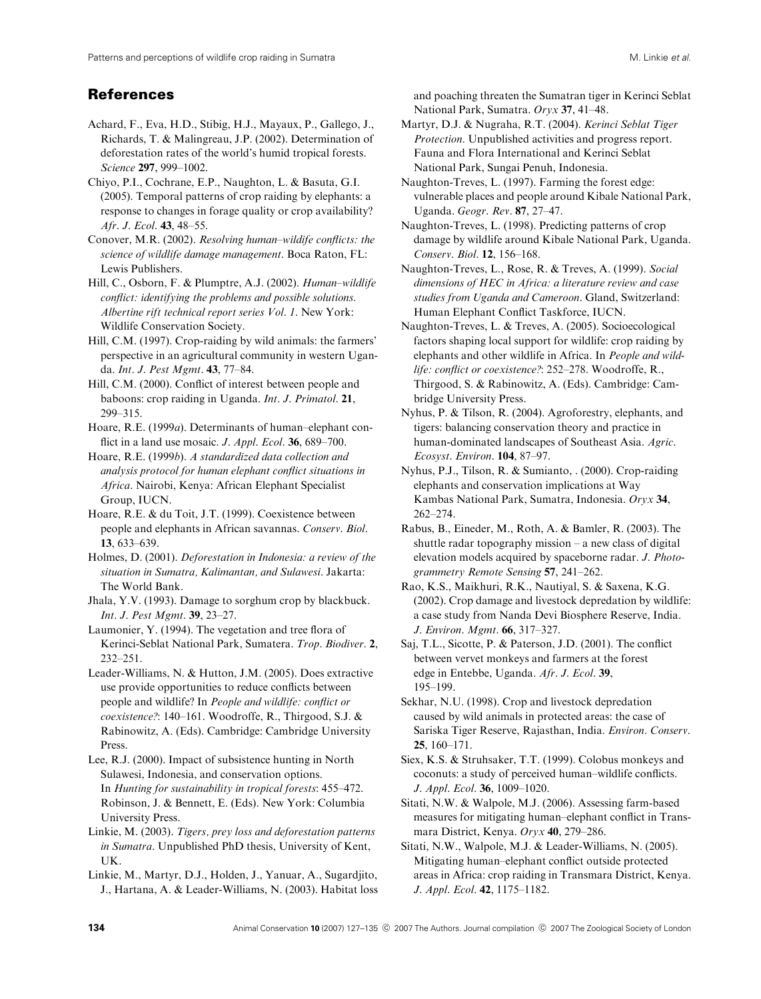### References

- Achard, F., Eva, H.D., Stibig, H.J., Mayaux, P., Gallego, J., Richards, T. & Malingreau, J.P. (2002). Determination of deforestation rates of the world's humid tropical forests. Science 297, 999–1002.
- Chiyo, P.I., Cochrane, E.P., Naughton, L. & Basuta, G.I. (2005). Temporal patterns of crop raiding by elephants: a response to changes in forage quality or crop availability? Afr. J. Ecol. 43, 48–55.
- Conover, M.R. (2002). Resolving human–wildife conflicts: the science of wildlife damage management. Boca Raton, FL: Lewis Publishers.
- Hill, C., Osborn, F. & Plumptre, A.J. (2002). Human–wildlife conflict: identifying the problems and possible solutions. Albertine rift technical report series Vol. 1. New York: Wildlife Conservation Society.
- Hill, C.M. (1997). Crop-raiding by wild animals: the farmers' perspective in an agricultural community in western Uganda. Int. J. Pest Mgmt. 43, 77–84.
- Hill, C.M. (2000). Conflict of interest between people and baboons: crop raiding in Uganda. Int. J. Primatol. 21, 299–315.
- Hoare, R.E. (1999a). Determinants of human–elephant conflict in a land use mosaic. J. Appl. Ecol. 36, 689-700.
- Hoare, R.E. (1999b). A standardized data collection and analysis protocol for human elephant conflict situations in Africa. Nairobi, Kenya: African Elephant Specialist Group, IUCN.
- Hoare, R.E. & du Toit, J.T. (1999). Coexistence between people and elephants in African savannas. Conserv. Biol. 13, 633–639.
- Holmes, D. (2001). Deforestation in Indonesia: a review of the situation in Sumatra, Kalimantan, and Sulawesi. Jakarta: The World Bank.
- Jhala, Y.V. (1993). Damage to sorghum crop by blackbuck. Int. J. Pest Mgmt. 39, 23–27.
- Laumonier, Y. (1994). The vegetation and tree flora of Kerinci-Seblat National Park, Sumatera. Trop. Biodiver. 2, 232–251.
- Leader-Williams, N. & Hutton, J.M. (2005). Does extractive use provide opportunities to reduce conflicts between people and wildlife? In People and wildlife: conflict or coexistence?: 140–161. Woodroffe, R., Thirgood, S.J. & Rabinowitz, A. (Eds). Cambridge: Cambridge University Press.
- Lee, R.J. (2000). Impact of subsistence hunting in North Sulawesi, Indonesia, and conservation options. In Hunting for sustainability in tropical forests: 455–472. Robinson, J. & Bennett, E. (Eds). New York: Columbia University Press.
- Linkie, M. (2003). Tigers, prey loss and deforestation patterns in Sumatra. Unpublished PhD thesis, University of Kent, UK.
- Linkie, M., Martyr, D.J., Holden, J., Yanuar, A., Sugardjito, J., Hartana, A. & Leader-Williams, N. (2003). Habitat loss

and poaching threaten the Sumatran tiger in Kerinci Seblat National Park, Sumatra. Oryx 37, 41–48.

- Martyr, D.J. & Nugraha, R.T. (2004). Kerinci Seblat Tiger Protection. Unpublished activities and progress report. Fauna and Flora International and Kerinci Seblat National Park, Sungai Penuh, Indonesia.
- Naughton-Treves, L. (1997). Farming the forest edge: vulnerable places and people around Kibale National Park, Uganda. Geogr. Rev. 87, 27–47.
- Naughton-Treves, L. (1998). Predicting patterns of crop damage by wildlife around Kibale National Park, Uganda. Conserv. Biol. 12, 156–168.
- Naughton-Treves, L., Rose, R. & Treves, A. (1999). Social dimensions of HEC in Africa: a literature review and case studies from Uganda and Cameroon. Gland, Switzerland: Human Elephant Conflict Taskforce, IUCN.
- Naughton-Treves, L. & Treves, A. (2005). Socioecological factors shaping local support for wildlife: crop raiding by elephants and other wildlife in Africa. In People and wildlife: conflict or coexistence?: 252–278. Woodroffe, R., Thirgood, S. & Rabinowitz, A. (Eds). Cambridge: Cambridge University Press.
- Nyhus, P. & Tilson, R. (2004). Agroforestry, elephants, and tigers: balancing conservation theory and practice in human-dominated landscapes of Southeast Asia. Agric. Ecosyst. Environ. 104, 87–97.
- Nyhus, P.J., Tilson, R. & Sumianto, . (2000). Crop-raiding elephants and conservation implications at Way Kambas National Park, Sumatra, Indonesia. Oryx 34, 262–274.
- Rabus, B., Eineder, M., Roth, A. & Bamler, R. (2003). The shuttle radar topography mission  $-$  a new class of digital elevation models acquired by spaceborne radar. J. Photogrammetry Remote Sensing 57, 241–262.
- Rao, K.S., Maikhuri, R.K., Nautiyal, S. & Saxena, K.G. (2002). Crop damage and livestock depredation by wildlife: a case study from Nanda Devi Biosphere Reserve, India. J. Environ. Mgmt. 66, 317–327.
- Saj, T.L., Sicotte, P. & Paterson, J.D. (2001). The conflict between vervet monkeys and farmers at the forest edge in Entebbe, Uganda. Afr. J. Ecol. 39, 195–199.
- Sekhar, N.U. (1998). Crop and livestock depredation caused by wild animals in protected areas: the case of Sariska Tiger Reserve, Rajasthan, India. Environ. Conserv. 25, 160–171.
- Siex, K.S. & Struhsaker, T.T. (1999). Colobus monkeys and coconuts: a study of perceived human–wildlife conflicts. J. Appl. Ecol. 36, 1009–1020.
- Sitati, N.W. & Walpole, M.J. (2006). Assessing farm-based measures for mitigating human–elephant conflict in Transmara District, Kenya. Oryx 40, 279–286.
- Sitati, N.W., Walpole, M.J. & Leader-Williams, N. (2005). Mitigating human–elephant conflict outside protected areas in Africa: crop raiding in Transmara District, Kenya. J. Appl. Ecol. 42, 1175–1182.